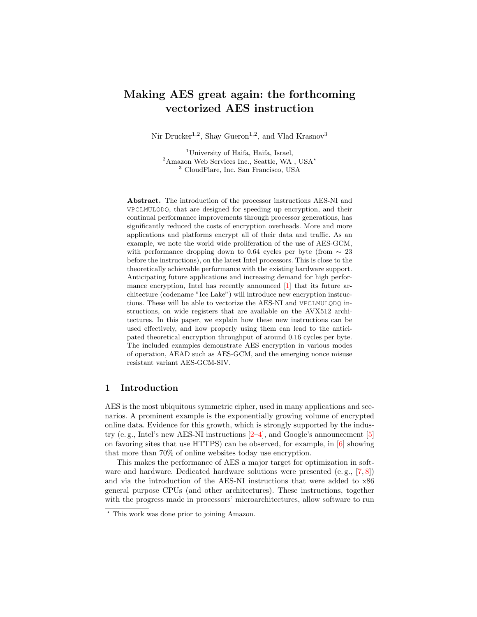# <span id="page-0-0"></span>Making AES great again: the forthcoming vectorized AES instruction

Nir Drucker<sup>1,2</sup>, Shay Gueron<sup>1,2</sup>, and Vlad Krasnov<sup>3</sup>

<sup>1</sup>University of Haifa, Haifa, Israel,  $2\text{Amaxon}$  Web Services Inc., Seattle, WA , USA<sup>\*</sup> <sup>3</sup> CloudFlare, Inc. San Francisco, USA

Abstract. The introduction of the processor instructions AES-NI and VPCLMULQDQ, that are designed for speeding up encryption, and their continual performance improvements through processor generations, has significantly reduced the costs of encryption overheads. More and more applications and platforms encrypt all of their data and traffic. As an example, we note the world wide proliferation of the use of AES-GCM, with performance dropping down to 0.64 cycles per byte (from  $\sim 23$ ) before the instructions), on the latest Intel processors. This is close to the theoretically achievable performance with the existing hardware support. Anticipating future applications and increasing demand for high performance encryption, Intel has recently announced [\[1\]](#page-9-0) that its future architecture (codename "Ice Lake") will introduce new encryption instructions. These will be able to vectorize the AES-NI and VPCLMULQDQ instructions, on wide registers that are available on the AVX512 architectures. In this paper, we explain how these new instructions can be used effectively, and how properly using them can lead to the anticipated theoretical encryption throughput of around 0.16 cycles per byte. The included examples demonstrate AES encryption in various modes of operation, AEAD such as AES-GCM, and the emerging nonce misuse resistant variant AES-GCM-SIV.

## 1 Introduction

AES is the most ubiquitous symmetric cipher, used in many applications and scenarios. A prominent example is the exponentially growing volume of encrypted online data. Evidence for this growth, which is strongly supported by the industry (e.g., Intel's new AES-NI instructions  $[2-4]$  $[2-4]$ , and Google's announcement  $[5]$ on favoring sites that use HTTPS) can be observed, for example, in  $[6]$  showing that more than 70% of online websites today use encryption.

This makes the performance of AES a major target for optimization in software and hardware. Dedicated hardware solutions were presented  $(e, g, [7, 8])$  $(e, g, [7, 8])$  $(e, g, [7, 8])$  $(e, g, [7, 8])$  $(e, g, [7, 8])$ and via the introduction of the AES-NI instructions that were added to x86 general purpose CPUs (and other architectures). These instructions, together with the progress made in processors' microarchitectures, allow software to run

<sup>?</sup> This work was done prior to joining Amazon.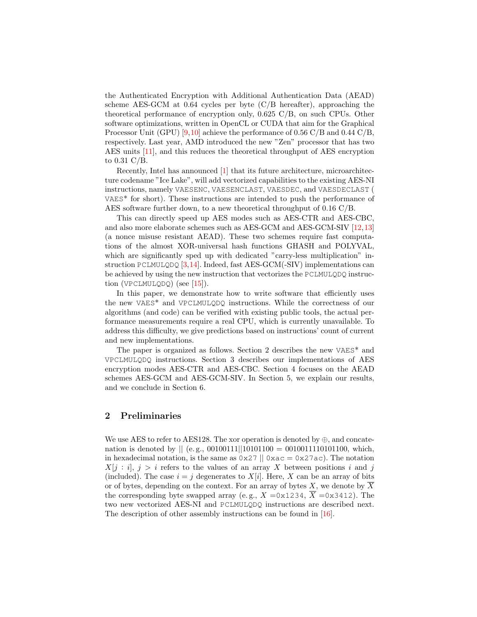the [Authenticated Encryption with Additional Authentication Data \(AEAD\)](#page-0-0) scheme [AES-GCM](#page-0-0) at 0.64 cycles per byte (C/B hereafter), approaching the theoretical performance of encryption only, 0.625 C/B, on such CPUs. Other software optimizations, written in OpenCL or CUDA that aim for the [Graphical](#page-0-0) [Processor Unit \(GPU\)](#page-0-0) [\[9,](#page-9-7)[10\]](#page-9-8) achieve the performance of 0.56 C/B and 0.44 C/B, respectively. Last year, AMD introduced the new "Zen" processor that has two [AES](#page-0-0) units [\[11\]](#page-9-9), and this reduces the theoretical throughput of AES encryption to 0.31 C/B.

Recently, Intel has announced [\[1\]](#page-9-0) that its future architecture, microarchitecture codename "Ice Lake", will add vectorized capabilities to the existing AES-NI instructions, namely VAESENC, VAESENCLAST, VAESDEC, and VAESDECLAST ( VAES\* for short). These instructions are intended to push the performance of [AES](#page-0-0) software further down, to a new theoretical throughput of 0.16 C/B.

This can directly speed up [AES](#page-0-0) modes such as [AES-CTR](#page-0-0) and [AES-CBC,](#page-0-0) and also more elaborate schemes such as [AES-GCM](#page-0-0) and [AES-GCM-SIV](#page-0-0) [\[12,](#page-9-10)[13\]](#page-9-11) (a nonce misuse resistant [AEAD\)](#page-0-0). These two schemes require fast computations of the almost XOR-universal hash functions GHASH and POLYVAL, which are significantly sped up with dedicated "carry-less multiplication" instruction PCLMULQDQ  $[3,14]$  $[3,14]$ . Indeed, fast [AES-GCM\(](#page-0-0)-SIV) implementations can be achieved by using the new instruction that vectorizes the PCLMULQDQ instruction (VPCLMULQDQ) (see [\[15\]](#page-9-14)).

In this paper, we demonstrate how to write software that efficiently uses the new VAES\* and VPCLMULQDQ instructions. While the correctness of our algorithms (and code) can be verified with existing public tools, the actual performance measurements require a real CPU, which is currently unavailable. To address this difficulty, we give predictions based on instructions' count of current and new implementations.

The paper is organized as follows. Section [2](#page-1-0) describes the new VAES\* and VPCLMULQDQ instructions. Section [3](#page-3-0) describes our implementations of [AES](#page-0-0) encryption modes [AES-CTR](#page-0-0) and [AES-CBC.](#page-0-0) Section [4](#page-5-0) focuses on the [AEAD](#page-0-0) schemes [AES-GCM](#page-0-0) and [AES-GCM-SIV.](#page-0-0) In Section [5,](#page-7-0) we explain our results, and we conclude in Section [6.](#page-8-0)

## <span id="page-1-0"></span>2 Preliminaries

We use [AES](#page-0-0) to refer to [AES1](#page-0-0)28. The xor operation is denoted by  $\oplus$ , and concatenation is denoted by  $|| (e.g., 00100111||10101100 = 0010011110101100, which,$ in hexadecimal notation, is the same as  $0 \times 27 \parallel 0 \times 0 = 0 \times 27$  ac). The notation  $X[j : i], j > i$  refers to the values of an array X between positions i and j (included). The case  $i = j$  degenerates to  $X[i]$ . Here, X can be an array of bits or of bytes, depending on the context. For an array of bytes X, we denote by  $\overline{X}$ the corresponding byte swapped array (e.g.,  $X = 0 \times 1234$ ,  $\overline{X} = 0 \times 3412$ ). The two new vectorized AES-NI and PCLMULQDQ instructions are described next. The description of other assembly instructions can be found in [\[16\]](#page-9-15).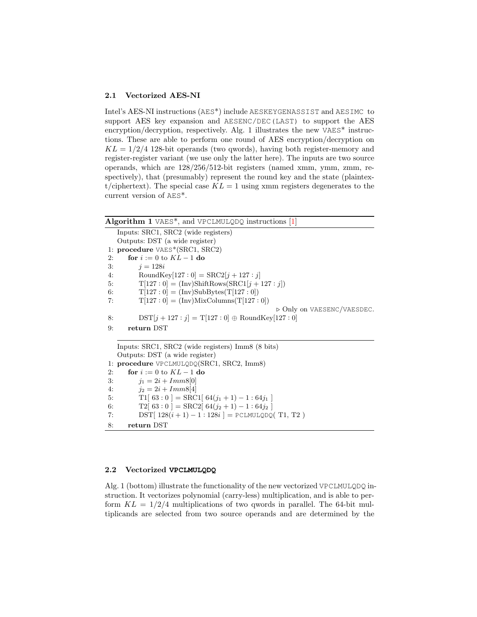### 2.1 Vectorized AES-NI

Intel's AES-NI instructions (AES\*) include AESKEYGENASSIST and AESIMC to support [AES](#page-0-0) key expansion and AESENC/DEC(LAST) to support the [AES](#page-0-0) encryption/decryption, respectively. Alg. [1](#page-2-0) illustrates the new VAES<sup>\*</sup> instructions. These are able to perform one round of [AES](#page-0-0) encryption/decryption on  $KL = 1/2/4$  128-bit operands (two qwords), having both register-memory and register-register variant (we use only the latter here). The inputs are two source operands, which are 128/256/512-bit registers (named xmm, ymm, zmm, respectively), that (presumably) represent the round key and the state (plaintext/ciphertext). The special case  $KL = 1$  using xmm registers degenerates to the current version of AES\*.

<span id="page-2-0"></span>

| <b>Algorithm 1</b> VAES <sup>*</sup> , and VPCLMULQDQ instructions $[1]$ |
|--------------------------------------------------------------------------|
| Inputs: SRC1, SRC2 (wide registers)                                      |
| Outputs: DST (a wide register)                                           |
| 1: procedure VAES*(SRC1, SRC2)                                           |
| for $i := 0$ to $KL - 1$ do<br>2:                                        |
| 3:<br>$i = 128i$                                                         |
| RoundKey[127 : 0] = $\text{SRC2}[j + 127 : j]$<br>4:                     |
| $T[127:0] = (Inv)ShiftRows(SRC1[j + 127:j])$<br>5:                       |
| $T[127:0] = (Inv)SubBytes(T[127:0])$<br>6:                               |
| $T[127:0] = (Inv)MixColumns(T[127:0])$<br>7:                             |
| $\triangleright$ Only on VAESENC/VAESDEC.                                |
| $DST[j + 127 : j] = T[127 : 0] \oplus \text{RoundKey}[127 : 0]$<br>8:    |
| return DST<br>9:                                                         |
| Inputs: SRC1, SRC2 (wide registers) Imm8 (8 bits)                        |
| Outputs: DST (a wide register)                                           |
| 1: procedure VPCLMULQDQ(SRC1, SRC2, Imm8)                                |
| for $i := 0$ to $KL - 1$ do<br>2:                                        |
| $i_1 = 2i + Imm8[0]$<br>3:                                               |
| 4:<br>$i_2 = 2i + Imm8[4]$                                               |
| T1[ $63:0$ ] = SRC1[ $64(j_1 + 1) - 1:64(j_1)$<br>5:                     |
| $T2[ 63:0 ] =$ SRC2[ $64(j_2 + 1) - 1:64(j_2)$ ]<br>6:                   |
| DST[ $128(i + 1) - 1:128i$ ] = PCLMULQDQ(T1, T2)<br>7:                   |
| 8:<br>return DST                                                         |

#### 2.2 Vectorized **VPCLMULQDQ**

Alg. [1](#page-2-0) (bottom) illustrate the functionality of the new vectorized VPCLMULQDQ instruction. It vectorizes polynomial (carry-less) multiplication, and is able to perform  $KL = 1/2/4$  multiplications of two qwords in parallel. The 64-bit multiplicands are selected from two source operands and are determined by the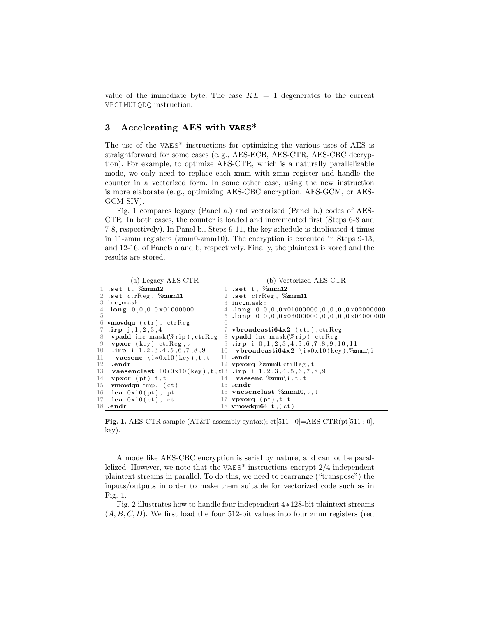value of the immediate byte. The case  $KL = 1$  degenerates to the current VPCLMULQDQ instruction.

# <span id="page-3-0"></span>3 Accelerating AES with **VAES**\*

The use of the VAES\* instructions for optimizing the various uses of [AES](#page-0-0) is straightforward for some cases (e. g., [AES-ECB,](#page-0-0) [AES-CTR,](#page-0-0) [AES-CBC](#page-0-0) decryption). For example, to optimize [AES-CTR,](#page-0-0) which is a naturally parallelizable mode, we only need to replace each xmm with zmm register and handle the counter in a vectorized form. In some other case, using the new instruction is more elaborate (e. g., optimizing [AES-CBC](#page-0-0) encryption, [AES-GCM,](#page-0-0) or [AES-](#page-0-0)[GCM-SIV\)](#page-0-0).

Fig. [1](#page-3-1) compares legacy (Panel a.) and vectorized (Panel b.) codes of [AES-](#page-0-0)[CTR.](#page-0-0) In both cases, the counter is loaded and incremented first (Steps 6-8 and 7-8, respectively). In Panel b., Steps 9-11, the key schedule is duplicated 4 times in 11-zmm registers (zmm0-zmm10). The encryption is executed in Steps 9-13, and 12-16, of Panels a and b, respectively. Finally, the plaintext is xored and the results are stored.

|        | (a) Legacy AES-CTR                                                          | (b) Vectorized AES-CTR                                                        |
|--------|-----------------------------------------------------------------------------|-------------------------------------------------------------------------------|
|        | 1 .set t, $%$ mm12                                                          | 1 .set t, $%$ $\mathbb{Z}$ mm12                                               |
|        | 2 .set ctrReg, %xmm11                                                       | 2 .set $\text{ctrReg}$ , $\%$ zmm11                                           |
|        | 3 inc_mask:                                                                 | 3 inc_mask:                                                                   |
|        | 4.long $0,0,0,0x01000000$                                                   | $4 \cdot \text{long} \quad 0,0,0,0 \times 010000000, 0,0,0,0 \times 02000000$ |
| 5      |                                                                             | $5$ .long $0,0,0,0x03000000,0,0,0x04000000$                                   |
|        | 6 <b>vmovdqu</b> $(\text{ctr})$ , $\text{ctrReg}$<br>6                      |                                                                               |
| 7.     | $\cdot$ irp j, 1, 2, 3, 4                                                   | 7 vbroadcasti $64x2$ (ctr), ctrReg                                            |
| 8      | <b>vpadd</b> $inc\_mask(\%rip)$ , $ctrReg$                                  | 8 vpadd inc_mask(%rip), ctrReg                                                |
| -9     | <b>vpxor</b> $(key)$ , $ctrReg$ , $t$                                       | 9 $\cdot$ irp i, 0, 1, 2, 3, 4, 5, 6, 7, 8, 9, 10, 11                         |
| 10     | $\mathbf{.irp}$ i, 1, 2, 3, 4, 5, 6, 7, 8, 9                                | 10 vbroadcasti $64x2 \ i*0x10 (key)$ , zmm\i                                  |
| $11 -$ | <b>vaesenc</b> $\iota * 0x10(\text{key})$ , t, t                            | $11$ .endr                                                                    |
| 12     | .endr                                                                       | 12 vpxorq $\%$ mm0, ctrReg, t                                                 |
| 13     | <b>vaesenclast</b> $10*0x10(key), t, t13$ .irp i, 1, 2, 3, 4, 5, 6, 7, 8, 9 |                                                                               |
| 14     | $vpxor$ (pt), t, t                                                          | 14 <b>vaesenc</b> $\mathscr{C}_{\mathbf{z}}(t, t, t)$                         |
|        | 15 vmovdqu tmp, $(ct)$                                                      | $15$ .endr                                                                    |
|        | 16 <b>lea</b> $0x10(pt)$ , pt                                               | 16 vaesenclast $\%mm10, t$ , t                                                |
| 17     | lea $0x10(ct)$ , ct                                                         | 17 <b>vpxorq</b> $(pt)$ , t, t                                                |
|        | $18$ .endr                                                                  | 18 vmovdqu64 t, $(ct)$                                                        |

<span id="page-3-1"></span>Fig. 1. [AES-CTR](#page-0-0) sample (AT&T assembly syntax);  $ct[511:0] = AES-CTR(pt[511:0],$ key).

A mode like [AES-CBC](#page-0-0) encryption is serial by nature, and cannot be parallelized. However, we note that the VAES\* instructions encrypt 2/4 independent plaintext streams in parallel. To do this, we need to rearrange ("transpose") the inputs/outputs in order to make them suitable for vectorized code such as in Fig. [1.](#page-3-1)

Fig. [2](#page-4-0) illustrates how to handle four independent 4∗128-bit plaintext streams  $(A, B, C, D)$ . We first load the four 512-bit values into four zmm registers (red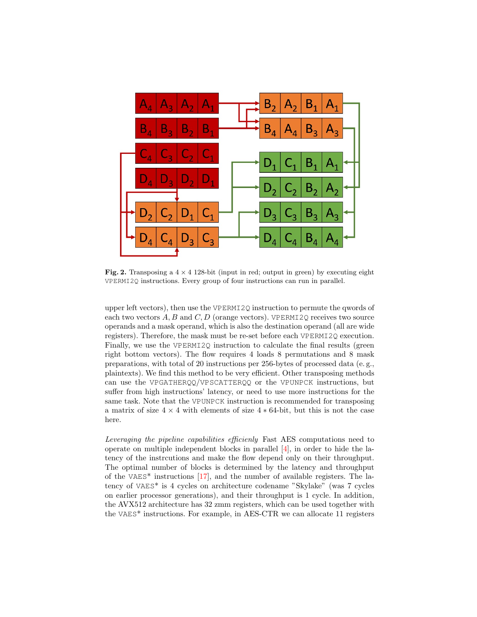

<span id="page-4-0"></span>Fig. 2. Transposing a  $4 \times 4$  128-bit (input in red; output in green) by executing eight VPERMI2Q instructions. Every group of four instructions can run in parallel.

upper left vectors), then use the VPERMI2Q instruction to permute the qwords of each two vectors  $A, B$  and  $C, D$  (orange vectors). VPERMI2Q receives two source operands and a mask operand, which is also the destination operand (all are wide registers). Therefore, the mask must be re-set before each VPERMI2Q execution. Finally, we use the VPERMI2Q instruction to calculate the final results (green right bottom vectors). The flow requires 4 loads 8 permutations and 8 mask preparations, with total of 20 instructions per 256-bytes of processed data (e. g., plaintexts). We find this method to be very efficient. Other transposing methods can use the VPGATHERQQ/VPSCATTERQQ or the VPUNPCK instructions, but suffer from high instructions' latency, or need to use more instructions for the same task. Note that the VPUNPCK instruction is recommended for transposing a matrix of size  $4 \times 4$  with elements of size  $4 * 64$ -bit, but this is not the case here.

Leveraging the pipeline capabilities efficienly Fast [AES](#page-0-0) computations need to operate on multiple independent blocks in parallel [\[4\]](#page-9-2), in order to hide the latency of the instrcutions and make the flow depend only on their throughput. The optimal number of blocks is determined by the latency and throughput of the VAES\* instructions [\[17\]](#page-9-16), and the number of available registers. The latency of VAES\* is 4 cycles on architecture codename "Skylake" (was 7 cycles on earlier processor generations), and their throughput is 1 cycle. In addition, the AVX512 architecture has 32 zmm registers, which can be used together with the VAES\* instructions. For example, in [AES-CTR](#page-0-0) we can allocate 11 registers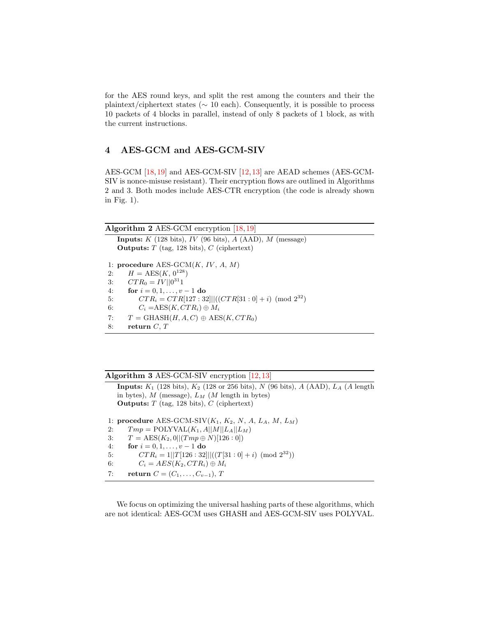for the [AES](#page-0-0) round keys, and split the rest among the counters and their the plaintext/ciphertext states ( $\sim 10$  each). Consequently, it is possible to process 10 packets of 4 blocks in parallel, instead of only 8 packets of 1 block, as with the current instructions.

# <span id="page-5-0"></span>4 AES-GCM and AES-GCM-SIV

[AES-GCM](#page-0-0) [\[18,](#page-10-0)[19\]](#page-10-1) and [AES-GCM-SIV](#page-0-0) [\[12,](#page-9-10)[13\]](#page-9-11) are [AEAD](#page-0-0) schemes [\(AES-GCM-](#page-0-0)[SIV](#page-0-0) is nonce-misuse resistant). Their encryption flows are outlined in Algorithms [2](#page-5-1) and [3.](#page-5-2) Both modes include [AES-CTR](#page-0-0) encryption (the code is already shown in Fig. [1\)](#page-3-1).

<span id="page-5-1"></span>

| Algorithm 2 AES-GCM encryption $[18, 19]$ |  |  |  |  |
|-------------------------------------------|--|--|--|--|
|-------------------------------------------|--|--|--|--|

Inputs:  $K$  (128 bits),  $IV$  (96 bits),  $A$  (AAD),  $M$  (message) **Outputs:**  $T$  (tag, 128 bits),  $C$  (ciphertext) 1: procedure  $AES-GCM(K, IV, A, M)$  $AES-GCM(K, IV, A, M)$ 2:  $H = \text{AES}(K, 0^{128})$ 3:  $CTR_0 = IV || 0^{31}1$ 4: **for**  $i = 0, 1, ..., v - 1$  **do** 5:  $CTR_i = CTR[127:32]]((CTR[31:0]+i) \pmod{2^{32}}$ 6:  $C_i = \text{AES}(K, CTR_i) \oplus M_i$ 7:  $T = \text{GHASH}(H, A, C) \oplus \text{AES}(K, CTR_0)$ 8: return  $C, T$ 

<span id="page-5-2"></span>

|  | Algorithm 3 AES-GCM-SIV encryption $[12, 13]$ |  |  |  |
|--|-----------------------------------------------|--|--|--|
|--|-----------------------------------------------|--|--|--|

**Inputs:**  $K_1$  (128 bits),  $K_2$  (128 or 256 bits), N (96 bits), A (AAD),  $L_A$  (A length in bytes),  $M$  (message),  $L_M$  ( $M$  length in bytes) Outputs:  $T$  (tag, 128 bits),  $C$  (ciphertext)

1: procedure [AES-GCM-SIV](#page-0-0) $(K_1, K_2, N, A, L_A, M, L_M)$ 2:  $Tmp = \text{POLYVAL}(K_1, A||M||L_A||L_M)$ 3:  $T = \text{AES}(K_2, 0 || (Tmp \oplus N)[126 : 0])$ 4: for  $i = 0, 1, ..., v - 1$  do 5:  $CTR_i = 1||T[126:32]||((T[31:0] + i) \pmod{2^{32}})$ 6:  $C_i = AES(K_2, CTR_i) \oplus M_i$ 7: return  $C = (C_1, \ldots, C_{v-1}), T$ 

We focus on optimizing the universal hashing parts of these algorithms, which are not identical: [AES-GCM](#page-0-0) uses GHASH and [AES-GCM-SIV](#page-0-0) uses POLYVAL.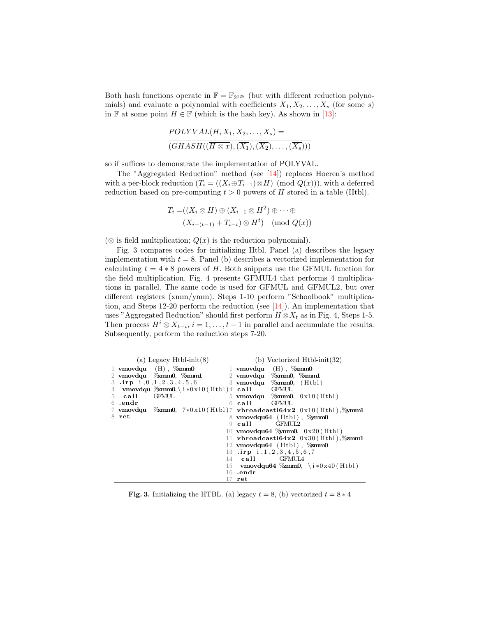Both hash functions operate in  $\mathbb{F} = \mathbb{F}_{2^{128}}$  (but with different reduction polynomials) and evaluate a polynomial with coefficients  $X_1, X_2, \ldots, X_s$  (for some s) in F at some point  $H \in \mathbb{F}$  (which is the hash key). As shown in [\[13\]](#page-9-11):

$$
POLYVAL(H, X_1, X_2, \ldots, X_s) =
$$
  
\n
$$
(GHASH((\overline{H \otimes x}), (\overline{X_1}), (\overline{X_2}), \ldots, (\overline{X_s})))
$$

so if suffices to demonstrate the implementation of POLYVAL.

The "Aggregated Reduction" method (see [\[14\]](#page-9-13)) replaces Hoeren's method with a per-block reduction  $(T_i = ((X_i \oplus T_{i-1}) \otimes H) \pmod{Q(x)}$ , with a deferred reduction based on pre-computing  $t > 0$  powers of H stored in a table (Htbl).

$$
T_i = ((X_i \otimes H) \oplus (X_{i-1} \otimes H^2) \oplus \cdots \oplus
$$
  

$$
(X_{i-(t-1)} + T_{i-t}) \otimes H^t) \pmod{Q(x)}
$$

 $(\otimes$  is field multiplication;  $Q(x)$  is the reduction polynomial).

Fig. [3](#page-6-0) compares codes for initializing Htbl. Panel (a) describes the legacy implementation with  $t = 8$ . Panel (b) describes a vectorized implementation for calculating  $t = 4 * 8$  powers of H. Both snippets use the GFMUL function for the field multiplication. Fig. [4](#page-7-1) presents GFMUL4 that performs 4 multiplications in parallel. The same code is used for GFMUL and GFMUL2, but over different registers (xmm/ymm). Steps 1-10 perform "Schoolbook" multiplication, and Steps 12-20 perform the reduction (see [\[14\]](#page-9-13)). An implementation that uses "Aggregated Reduction" should first perform  $H \otimes X_t$  as in Fig. [4,](#page-7-1) Steps 1-5. Then process  $H^i \otimes X_{t-i}$ ,  $i = 1, ..., t-1$  in parallel and accumulate the results. Subsequently, perform the reduction steps 7-20.

|                |         | (a) Legacy $H$ tbl-init(8)           | (b) Vectorized $H$ tbl-init $(32)$                                     |
|----------------|---------|--------------------------------------|------------------------------------------------------------------------|
|                |         | 1 vmovdqu $(H)$ , $\%$ mm0           | 1 vmovdqu $(H)$ , $\%$ mm0                                             |
|                |         | 2 vmovdqu %xmm0, %xmm1               | $2 \,$ vmovdqu $\,$ $\%$ mm $0, \, \,$ $\%$ mm $1$                     |
|                |         | 3 $\cdot$ irp i, 0, 1, 2, 3, 4, 5, 6 | 3 vmovdqu $\%$ xmm0, (Htbl)                                            |
| $\overline{4}$ |         |                                      | $\mathbf{v}$ movdqu $\%$ xmm0, \ i * 0 x 10 (Htbl) 4 call GFMUL        |
|                | 5 call  | <b>GFMUL</b>                         | 5 vmovdqu $\%$ mm0, $0 \times 10$ (Htbl)                               |
|                | 6 .endr |                                      | 6 call GFMUL                                                           |
|                |         |                                      | 7 vmovdqu $\%$ mm0, 7*0x10(Htbl)7 vbroadcasti64x2 0x10(Htbl), $\%$ mm1 |
|                | 8 ret   |                                      | $8$ vmovdqu64 (Htbl), $\%$ mm0                                         |
|                |         |                                      | 9 call GFMUL2                                                          |
|                |         |                                      | 10 vmovdqu64 $\%$ mm0, 0x20(Htbl)                                      |
|                |         |                                      | 11 vbroadcasti $64x2$ 0x30(Htbl), $%$ zmm1                             |
|                |         |                                      | 12 vmovdqu64 $(Htb)$ , $\%$ zmm0                                       |
|                |         |                                      | 13 $\cdot$ irp i, 1, 2, 3, 4, 5, 6, 7                                  |
|                |         |                                      | $14$ call $GFMUIA$                                                     |
|                |         |                                      | 15 vmovdqu64 $\%$ mm0, \i*0x40(Htbl)                                   |
|                |         |                                      | $16$ .endr                                                             |
|                |         |                                      | $17$ ret                                                               |

<span id="page-6-0"></span>**Fig. 3.** Initializing the HTBL. (a) legacy  $t = 8$ , (b) vectorized  $t = 8 * 4$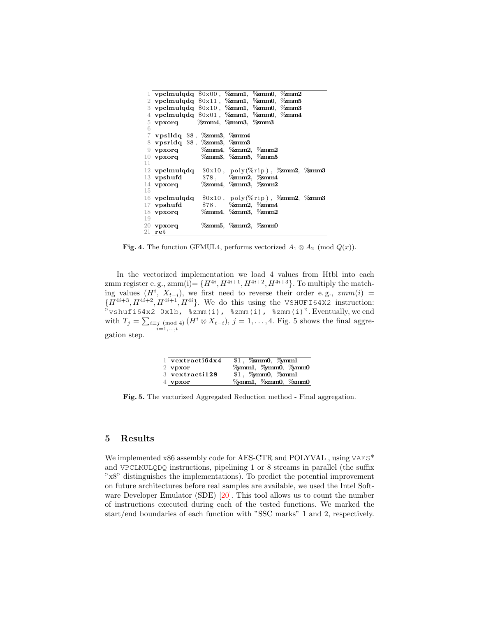|    | 1 vpclmulqdq $$0x00$ , $\%$ mm1, $\%$ mm0, $\%$ mm2                                                                                                                                                                                                                                                                 |  |                                             |  |
|----|---------------------------------------------------------------------------------------------------------------------------------------------------------------------------------------------------------------------------------------------------------------------------------------------------------------------|--|---------------------------------------------|--|
|    | 2 vpclmulqdq $\frac{1}{2}$ ( $\frac{1}{2}$ $\frac{1}{2}$ $\frac{1}{2}$ $\frac{1}{2}$ $\frac{1}{2}$ $\frac{1}{2}$ $\frac{1}{2}$ $\frac{1}{2}$ $\frac{1}{2}$ $\frac{1}{2}$ $\frac{1}{2}$ $\frac{1}{2}$ $\frac{1}{2}$ $\frac{1}{2}$ $\frac{1}{2}$ $\frac{1}{2}$ $\frac{1}{2}$ $\frac{1}{2}$ $\frac{1}{2}$ $\frac{1}{2$ |  |                                             |  |
|    | 3 vpclmulqdq $\frac{10 \times 10}{2}$ , $\frac{20 \times 10}{2}$ , $\frac{20 \times 10}{2}$ , $\frac{20 \times 10}{2}$                                                                                                                                                                                              |  |                                             |  |
|    | 4 vpclmulqdq $\sqrt[6]{x}$ 0x01, $\sqrt[6]{x}$ mm1, $\sqrt[6]{x}$ mm0, $\sqrt[6]{x}$ mm4                                                                                                                                                                                                                            |  |                                             |  |
|    | 5 vpxorq $\%$ zmm4, $\%$ zmm3, $\%$ zmm3                                                                                                                                                                                                                                                                            |  |                                             |  |
| 6  |                                                                                                                                                                                                                                                                                                                     |  |                                             |  |
|    | $\frac{7}{7}$ vpslldq \$8, $\%$ zmm3, $\%$ zmm4                                                                                                                                                                                                                                                                     |  |                                             |  |
|    | 8 vpsrldq \$8, % zmm3, % zmm3                                                                                                                                                                                                                                                                                       |  |                                             |  |
|    | 9 vpxorq $\%$ zmm4, $\%$ zmm2, $\%$ zmm2                                                                                                                                                                                                                                                                            |  |                                             |  |
|    | 10 vpxorq $\%$ zmm3, $\%$ zmm5, $\%$ zmm5                                                                                                                                                                                                                                                                           |  |                                             |  |
| 11 |                                                                                                                                                                                                                                                                                                                     |  |                                             |  |
|    | 12 vpclmulqdq $$0x10, poly(\%rip)$ , $\%mm2, \%mm3$                                                                                                                                                                                                                                                                 |  |                                             |  |
|    | 13 <b>vpshufd</b>                                                                                                                                                                                                                                                                                                   |  | $$78$ , $\%$ zmm2, $\%$ zmm4                |  |
|    | 14 vpxorq $\%$ zmm4, $\%$ zmm3, $\%$ zmm2                                                                                                                                                                                                                                                                           |  |                                             |  |
| 15 |                                                                                                                                                                                                                                                                                                                     |  |                                             |  |
|    | $16$ vpclmulqdq                                                                                                                                                                                                                                                                                                     |  | $\text{$0x10$, poly(\%rip), \%zmm2, \%zmm3$ |  |
|    | $17$ vpshufd                                                                                                                                                                                                                                                                                                        |  | $$78$ , $\%$ mm2, $\%$ mm4                  |  |
|    | 18 vpxorq $\%$ zmm4, $\%$ zmm3, $\%$ zmm2                                                                                                                                                                                                                                                                           |  |                                             |  |
| 19 |                                                                                                                                                                                                                                                                                                                     |  |                                             |  |
|    | $20$ vpxorq                                                                                                                                                                                                                                                                                                         |  | $\%zmm5, \%zmm2, \%zmm0$                    |  |
|    | $21$ ret                                                                                                                                                                                                                                                                                                            |  |                                             |  |

<span id="page-7-1"></span>**Fig. 4.** The function GFMUL4, performs vectorized  $A_1 \otimes A_2 \pmod{Q(x)}$ .

In the vectorized implementation we load 4 values from Htbl into each zmm register e.g.,  $zmm(i) = \{H^{4i}, H^{4i+1}, H^{4i+2}, H^{4i+3}\}\.$  To multiply the matching values  $(H^i, X_{t-i})$ , we first need to reverse their order e.g.,  $zmm(i)$  =  ${H^{4i+3}, H^{4i+2}, H^{4i+1}, H^{4i}}$ . We do this using the VSHUFI64X2 instruction: "vshufi64x2 0x1b,  $szmm(i)$ ,  $szmm(i)$ ,  $szmm(i)$ ". Eventually, we end with  $T_j = \sum_{i \equiv j \pmod{4}} (H^i \otimes X_{t-i}), j = 1, \ldots, 4$ . Fig. [5](#page-7-2) shows the final aggre $i=1,\ldots,t$ gation step.

| $1$ vextracti $64x4$ | $$1,$ $%$ zmm0, $%$ mm1 |
|----------------------|-------------------------|
| $2$ vpxor            | %mm1, %mm0, %mm0        |
| $3$ vextracti $128$  | \$1, %mm0, %mm1         |
| $4$ vpxor            | Yomm1, Yomm0, Yomm0     |

<span id="page-7-2"></span>Fig. 5. The vectorized Aggregated Reduction method - Final aggregation.

## <span id="page-7-0"></span>5 Results

We implemented x86 assembly code for [AES-CTR](#page-0-0) and POLYVAL, using VAES\* and VPCLMULQDQ instructions, pipelining 1 or 8 streams in parallel (the suffix "x8" distinguishes the implementations). To predict the potential improvement on future architectures before real samples are available, we used the Intel [Soft](#page-0-0)[ware Developer Emulator \(SDE\)](#page-0-0) [\[20\]](#page-10-2). This tool allows us to count the number of instructions executed during each of the tested functions. We marked the start/end boundaries of each function with "SSC marks" 1 and 2, respectively.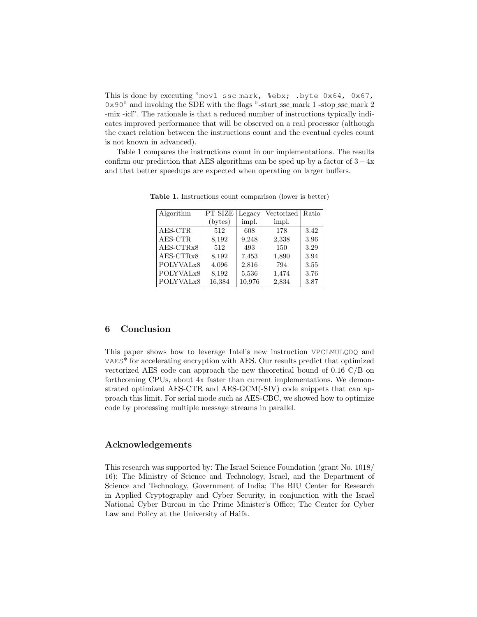This is done by executing "movl ssc\_mark, %ebx; .byte 0x64, 0x67, 0x90" and invoking the [SDE](#page-0-0) with the flags "-start ssc mark 1 -stop ssc mark 2 -mix -icl". The rationale is that a reduced number of instructions typically indicates improved performance that will be observed on a real processor (although the exact relation between the instructions count and the eventual cycles count is not known in advanced).

Table [1](#page-8-1) compares the instructions count in our implementations. The results confirm our prediction that [AES](#page-0-0) algorithms can be sped up by a factor of  $3 - 4x$ and that better speedups are expected when operating on larger buffers.

| Algorithm             | PT SIZE | Legacy | Vectorized   Ratio |      |
|-----------------------|---------|--------|--------------------|------|
|                       | (bytes) | impl.  | impl.              |      |
| AES-CTR               | 512     | 608    | 178                | 3.42 |
| AES-CTR               | 8,192   | 9,248  | 2,338              | 3.96 |
| AES-CTRx8             | 512     | 493    | 150                | 3.29 |
| AES-CTRx8             | 8,192   | 7.453  | 1,890              | 3.94 |
| POLYVALx8             | 4,096   | 2,816  | 794                | 3.55 |
| POLYVAL <sub>x8</sub> | 8,192   | 5,536  | 1,474              | 3.76 |
| POLYVAL <sub>x8</sub> | 16,384  | 10,976 | 2,834              | 3.87 |

<span id="page-8-1"></span>Table 1. Instructions count comparison (lower is better)

## <span id="page-8-0"></span>6 Conclusion

This paper shows how to leverage Intel's new instruction VPCLMULQDQ and VAES\* for accelerating encryption with [AES.](#page-0-0) Our results predict that optimized vectorized [AES](#page-0-0) code can approach the new theoretical bound of 0.16 C/B on forthcoming CPUs, about 4x faster than current implementations. We demonstrated optimized [AES-CTR](#page-0-0) and [AES-GCM\(](#page-0-0)-SIV) code snippets that can approach this limit. For serial mode such as [AES-CBC,](#page-0-0) we showed how to optimize code by processing multiple message streams in parallel.

### Acknowledgements

This research was supported by: The Israel Science Foundation (grant No. 1018/ 16); The Ministry of Science and Technology, Israel, and the Department of Science and Technology, Government of India; The BIU Center for Research in Applied Cryptography and Cyber Security, in conjunction with the Israel National Cyber Bureau in the Prime Minister's Office; The Center for Cyber Law and Policy at the University of Haifa.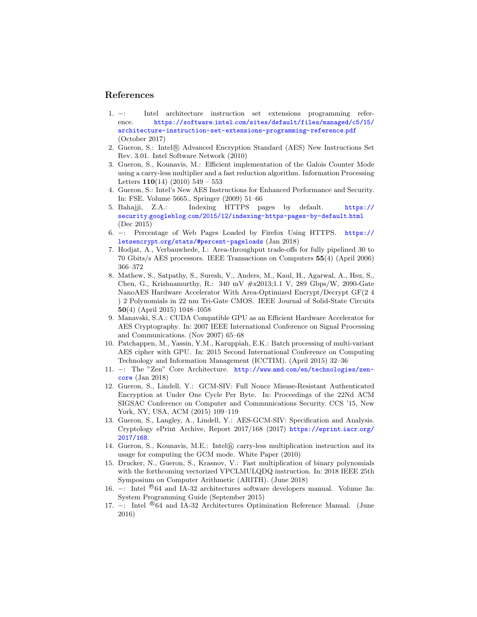## References

- <span id="page-9-0"></span>1. −: Intel architecture instruction set extensions programming reference. https://software.intel.[com/sites/default/files/managed/c5/15/](https://software.intel.com/sites/default/files/managed/c5/15/architecture-instruction-set-extensions-programming-reference.pdf) [architecture-instruction-set-extensions-programming-reference](https://software.intel.com/sites/default/files/managed/c5/15/architecture-instruction-set-extensions-programming-reference.pdf).pdf (October 2017)
- <span id="page-9-1"></span>2. Gueron, S.: Intel <sup>R</sup> Advanced Encryption Standard (AES) New Instructions Set Rev. 3.01. Intel Software Network (2010)
- <span id="page-9-12"></span>3. Gueron, S., Kounavis, M.: Efficient implementation of the Galois Counter Mode using a carry-less multiplier and a fast reduction algorithm. Information Processing Letters  $110(14)$  (2010) 549 – 553
- <span id="page-9-2"></span>4. Gueron, S.: Intel's New AES Instructions for Enhanced Performance and Security. In: FSE. Volume 5665., Springer (2009) 51–66
- <span id="page-9-3"></span>5. Bahajji, Z.A.: Indexing HTTPS pages by default. [https://](https://security.googleblog.com/2015/12/indexing-https-pages-by-default.html) security.googleblog.[com/2015/12/indexing-https-pages-by-default](https://security.googleblog.com/2015/12/indexing-https-pages-by-default.html).html (Dec 2015)
- <span id="page-9-4"></span>6. −: Percentage of Web Pages Loaded by Firefox Using HTTPS. [https://](https://letsencrypt.org/stats/#percent-pageloads) letsencrypt.[org/stats/#percent-pageloads](https://letsencrypt.org/stats/#percent-pageloads) (Jan 2018)
- <span id="page-9-5"></span>7. Hodjat, A., Verbauwhede, I.: Area-throughput trade-offs for fully pipelined 30 to 70 Gbits/s AES processors. IEEE Transactions on Computers 55(4) (April 2006) 366–372
- <span id="page-9-6"></span>8. Mathew, S., Satpathy, S., Suresh, V., Anders, M., Kaul, H., Agarwal, A., Hsu, S., Chen, G., Krishnamurthy, R.: 340 mV #x2013;1.1 V, 289 Gbps/W, 2090-Gate NanoAES Hardware Accelerator With Area-Optimized Encrypt/Decrypt GF(2 4 ) 2 Polynomials in 22 nm Tri-Gate CMOS. IEEE Journal of Solid-State Circuits 50(4) (April 2015) 1048–1058
- <span id="page-9-7"></span>9. Manavski, S.A.: CUDA Compatible GPU as an Efficient Hardware Accelerator for AES Cryptography. In: 2007 IEEE International Conference on Signal Processing and Communications. (Nov 2007) 65–68
- <span id="page-9-8"></span>10. Patchappen, M., Yassin, Y.M., Karuppiah, E.K.: Batch processing of multi-variant AES cipher with GPU. In: 2015 Second International Conference on Computing Technology and Information Management (ICCTIM). (April 2015) 32–36
- <span id="page-9-9"></span>11. −: The "Zen" Core Architecture. http://www.amd.[com/en/technologies/zen](http://www.amd.com/en/technologies/zen-core)[core](http://www.amd.com/en/technologies/zen-core) (Jan 2018)
- <span id="page-9-10"></span>12. Gueron, S., Lindell, Y.: GCM-SIV: Full Nonce Misuse-Resistant Authenticated Encryption at Under One Cycle Per Byte. In: Proceedings of the 22Nd ACM SIGSAC Conference on Computer and Communications Security. CCS '15, New York, NY, USA, ACM (2015) 109–119
- <span id="page-9-11"></span>13. Gueron, S., Langley, A., Lindell, Y.: AES-GCM-SIV: Specification and Analysis. Cryptology ePrint Archive, Report 2017/168 (2017) [https://eprint](https://eprint.iacr.org/2017/168).iacr.org/ [2017/168](https://eprint.iacr.org/2017/168).
- <span id="page-9-13"></span>14. Gueron, S., Kounavis, M.E.: Intel <sup>R</sup> carry-less multiplication instruction and its usage for computing the GCM mode. White Paper (2010)
- <span id="page-9-14"></span>15. Drucker, N., Gueron, S., Krasnov, V.: Fast multiplication of binary polynomials with the forthcoming vectorized VPCLMULQDQ instruction. In: 2018 IEEE 25th Symposium on Computer Arithmetic (ARITH). (June 2018)
- <span id="page-9-15"></span>16. −: Intel <sup>®</sup>64 and IA-32 architectures software developers manual. Volume 3a: System Programming Guide (September 2015)
- <span id="page-9-16"></span>17. –: Intel <sup>®</sup>64 and IA-32 Architectures Optimization Reference Manual. (June 2016)